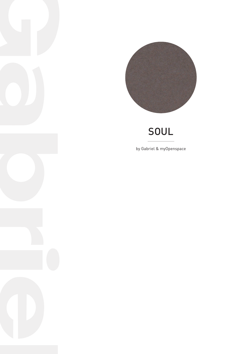

## soul

by Gabriel & myOpenspace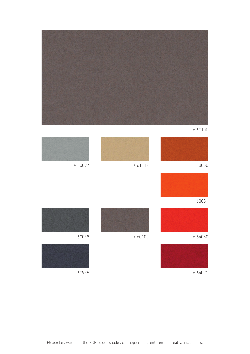

• 60100

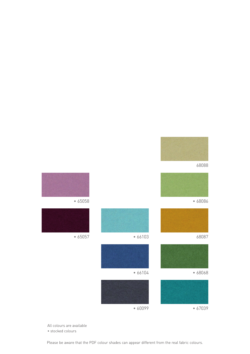





All colours are available

• stocked colours

Please be aware that the PDF colour shades can appear different from the real fabric colours.